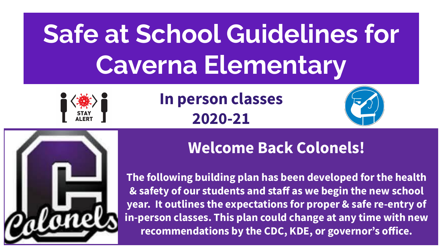# **Safe at School Guidelines for Caverna Elementary**



**In person classes 2020-21**





#### **Welcome Back Colonels!**

**The following building plan has been developed for the health & safety of our students and staff as we begin the new school year. It outlines the expectations for proper & safe re-entry of in-person classes. This plan could change at any time with new recommendations by the CDC, KDE, or governor's office.**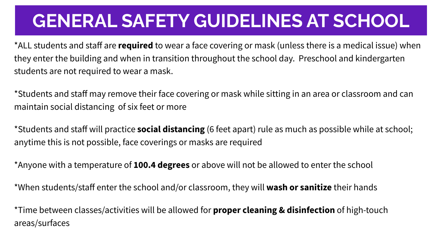### **GENERAL SAFETY GUIDELINES AT SCHOOL**

\*ALL students and staff are **required** to wear a face covering or mask (unless there is a medical issue) when they enter the building and when in transition throughout the school day. Preschool and kindergarten students are not required to wear a mask.

\*Students and staff may remove their face covering or mask while sitting in an area or classroom and can maintain social distancing of six feet or more

\*Students and staff will practice **social distancing** (6 feet apart) rule as much as possible while at school; anytime this is not possible, face coverings or masks are required

\*Anyone with a temperature of **100.4 degrees** or above will not be allowed to enter the school

\*When students/staff enter the school and/or classroom, they will **wash or sanitize** their hands

\*Time between classes/activities will be allowed for **proper cleaning & disinfection** of high-touch areas/surfaces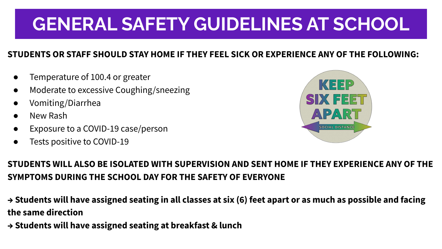# **GENERAL SAFETY GUIDELINES AT SCHOOL**

#### **STUDENTS OR STAFF SHOULD STAY HOME IF THEY FEEL SICK OR EXPERIENCE ANY OF THE FOLLOWING:**

- Temperature of 100.4 or greater
- Moderate to excessive Coughing/sneezing
- Vomiting/Diarrhea
- New Rash
- Exposure to a COVID-19 case/person
- Tests positive to COVID-19



#### **STUDENTS WILL ALSO BE ISOLATED WITH SUPERVISION AND SENT HOME IF THEY EXPERIENCE ANY OF THE SYMPTOMS DURING THE SCHOOL DAY FOR THE SAFETY OF EVERYONE**

- **→ Students will have assigned seating in all classes at six (6) feet apart or as much as possible and facing the same direction**
- **→ Students will have assigned seating at breakfast & lunch**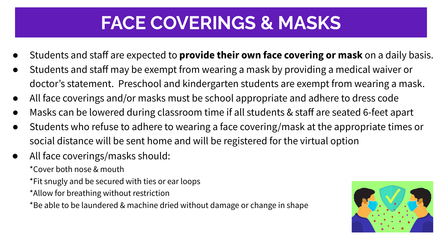### **FACE COVERINGS & MASKS**

- Students and staff are expected to **provide their own face covering or mask** on a daily basis.
- Students and staff may be exempt from wearing a mask by providing a medical waiver or doctor's statement. Preschool and kindergarten students are exempt from wearing a mask.
- All face coverings and/or masks must be school appropriate and adhere to dress code
- Masks can be lowered during classroom time if all students & staff are seated 6-feet apart
- Students who refuse to adhere to wearing a face covering/mask at the appropriate times or social distance will be sent home and will be registered for the virtual option
- All face coverings/masks should:
	- \*Cover both nose & mouth
	- \*Fit snugly and be secured with ties or ear loops
	- \*Allow for breathing without restriction
	- \*Be able to be laundered & machine dried without damage or change in shape

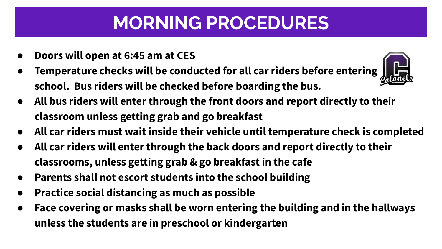# **MORNING PROCEDURES**

- **● Doors will open at 6:45 am at CES**
- **Temperature checks will be conducted for all car riders before entering school. Bus riders will be checked before boarding the bus.**



- **● All bus riders will enter through the front doors and report directly to their classroom unless getting grab and go breakfast**
- **● All car riders must wait inside their vehicle until temperature check is completed**
- **● All car riders will enter through the back doors and report directly to their classrooms, unless getting grab & go breakfast in the cafe**
- **● Parents shall not escort students into the school building**
- **● Practice social distancing as much as possible**
- **● Face covering or masks shall be worn entering the building and in the hallways unless the students are in preschool or kindergarten**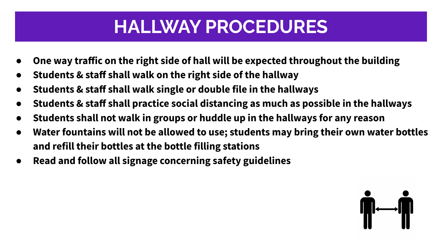### **HALLWAY PROCEDURES**

- **● One way traffic on the right side of hall will be expected throughout the building**
- **● Students & staff shall walk on the right side of the hallway**
- **● Students & staff shall walk single or double file in the hallways**
- **● Students & staff shall practice social distancing as much as possible in the hallways**
- **● Students shall not walk in groups or huddle up in the hallways for any reason**
- **● Water fountains will not be allowed to use; students may bring their own water bottles and refill their bottles at the bottle filling stations**
- **● Read and follow all signage concerning safety guidelines**

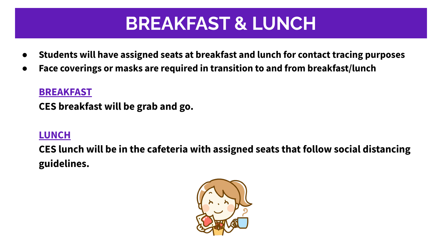### **BREAKFAST & LUNCH**

- **● Students will have assigned seats at breakfast and lunch for contact tracing purposes**
- **● Face coverings or masks are required in transition to and from breakfast/lunch**

#### **BREAKFAST**

**CES breakfast will be grab and go.**

#### **LUNCH**

**CES lunch will be in the cafeteria with assigned seats that follow social distancing guidelines.**

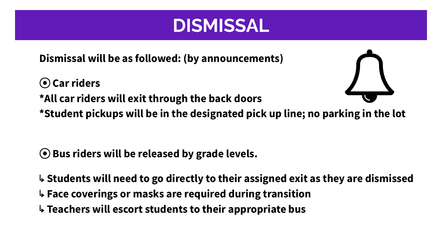#### **DISMISSAL**

**Dismissal will be as followed: (by announcements)**

⦿ **Car riders \*All car riders will exit through the back doors \*Student pickups will be in the designated pick up line; no parking in the lot**

- ⦿ **Bus riders will be released by grade levels.**
- ↳ **Students will need to go directly to their assigned exit as they are dismissed**
- ↳ **Face coverings or masks are required during transition**
- ↳ **Teachers will escort students to their appropriate bus**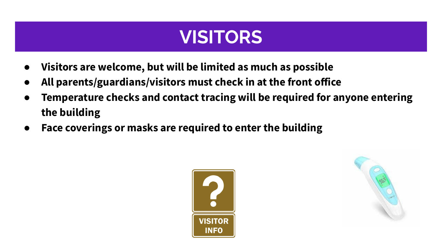#### **VISITORS**

- **● Visitors are welcome, but will be limited as much as possible**
- **● All parents/guardians/visitors must check in at the front office**
- **● Temperature checks and contact tracing will be required for anyone entering the building**
- **● Face coverings or masks are required to enter the building**



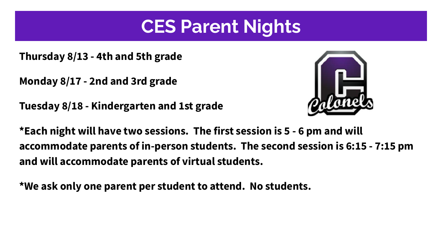#### **CES Parent Nights**

**Thursday 8/13 - 4th and 5th grade** 

**Monday 8/17 - 2nd and 3rd grade**

**Tuesday 8/18 - Kindergarten and 1st grade**



**\*Each night will have two sessions. The first session is 5 - 6 pm and will accommodate parents of in-person students. The second session is 6:15 - 7:15 pm and will accommodate parents of virtual students.** 

**\*We ask only one parent per student to attend. No students.**